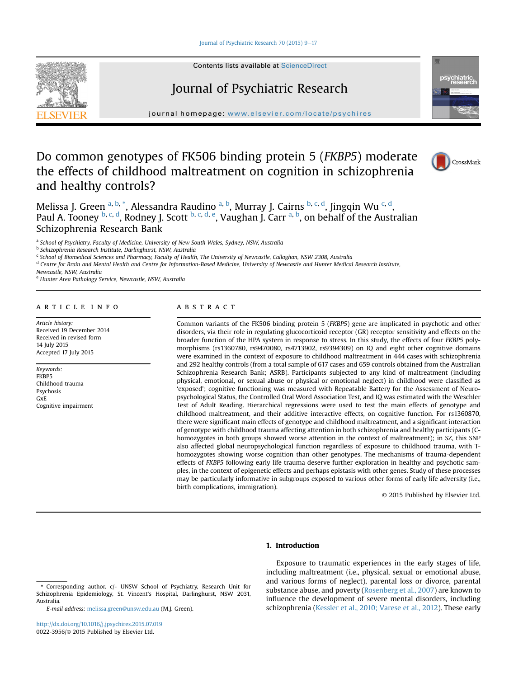## [Journal of Psychiatric Research 70 \(2015\) 9](http://dx.doi.org/10.1016/j.jpsychires.2015.07.019)-[17](http://dx.doi.org/10.1016/j.jpsychires.2015.07.019)



Contents lists available at ScienceDirect

# Journal of Psychiatric Research



journal homepage: [www.elsevier.com/locate/psychires](http://www.elsevier.com/locate/psychires)

# Do common genotypes of FK506 binding protein 5 (FKBP5) moderate the effects of childhood maltreatment on cognition in schizophrenia and healthy controls?



Melissa J. Green <sup>a, b,</sup> \*, Alessandra Raudino <sup>a, b</sup>, Murray J. Cairns <sup>b, c, d</sup>, Jingqin Wu <sup>c, d</sup>, Paul A. Tooney <sup>b, c, d</sup>, Rodney J. Scott <sup>b, c, d, e</sup>, Vaughan J. Carr <sup>a, b</sup>, on behalf of the Australian Schizophrenia Research Bank

<sup>a</sup> School of Psychiatry, Faculty of Medicine, University of New South Wales, Sydney, NSW, Australia

<sup>b</sup> Schizophrenia Research Institute, Darlinghurst, NSW, Australia

<sup>c</sup> School of Biomedical Sciences and Pharmacy, Faculty of Health, The University of Newcastle, Callaghan, NSW 2308, Australia

<sup>d</sup> Centre for Brain and Mental Health and Centre for Information-Based Medicine, University of Newcastle and Hunter Medical Research Institute,

Newcastle, NSW, Australia

<sup>e</sup> Hunter Area Pathology Service, Newcastle, NSW, Australia

### article info

Article history: Received 19 December 2014 Received in revised form 14 July 2015 Accepted 17 July 2015

Keywords: FKBP5 Childhood trauma Psychosis GxE Cognitive impairment

# ABSTRACT

Common variants of the FK506 binding protein 5 (FKBP5) gene are implicated in psychotic and other disorders, via their role in regulating glucocorticoid receptor (GR) receptor sensitivity and effects on the broader function of the HPA system in response to stress. In this study, the effects of four FKBP5 polymorphisms (rs1360780, rs9470080, rs4713902, rs9394309) on IQ and eight other cognitive domains were examined in the context of exposure to childhood maltreatment in 444 cases with schizophrenia and 292 healthy controls (from a total sample of 617 cases and 659 controls obtained from the Australian Schizophrenia Research Bank; ASRB). Participants subjected to any kind of maltreatment (including physical, emotional, or sexual abuse or physical or emotional neglect) in childhood were classified as 'exposed'; cognitive functioning was measured with Repeatable Battery for the Assessment of Neuropsychological Status, the Controlled Oral Word Association Test, and IQ was estimated with the Weschler Test of Adult Reading. Hierarchical regressions were used to test the main effects of genotype and childhood maltreatment, and their additive interactive effects, on cognitive function. For rs1360870, there were significant main effects of genotype and childhood maltreatment, and a significant interaction of genotype with childhood trauma affecting attention in both schizophrenia and healthy participants (Chomozygotes in both groups showed worse attention in the context of maltreatment); in SZ, this SNP also affected global neuropsychological function regardless of exposure to childhood trauma, with Thomozygotes showing worse cognition than other genotypes. The mechanisms of trauma-dependent effects of FKBP5 following early life trauma deserve further exploration in healthy and psychotic samples, in the context of epigenetic effects and perhaps epistasis with other genes. Study of these processes may be particularly informative in subgroups exposed to various other forms of early life adversity (i.e., birth complications, immigration).

© 2015 Published by Elsevier Ltd.

# 1. Introduction

E-mail address: [melissa.green@unsw.edu.au](mailto:melissa.green@unsw.edu.au) (M.J. Green).

<http://dx.doi.org/10.1016/j.jpsychires.2015.07.019> 0022-3956/© 2015 Published by Elsevier Ltd.

Exposure to traumatic experiences in the early stages of life, including maltreatment (i.e., physical, sexual or emotional abuse, and various forms of neglect), parental loss or divorce, parental substance abuse, and poverty (Rosenberg et al., 2007) are known to influence the development of severe mental disorders, including schizophrenia (Kessler et al., 2010; Varese et al., 2012). These early

<sup>\*</sup> Corresponding author. c/- UNSW School of Psychiatry, Research Unit for Schizophrenia Epidemiology, St. Vincent's Hospital, Darlinghurst, NSW 2031, Australia.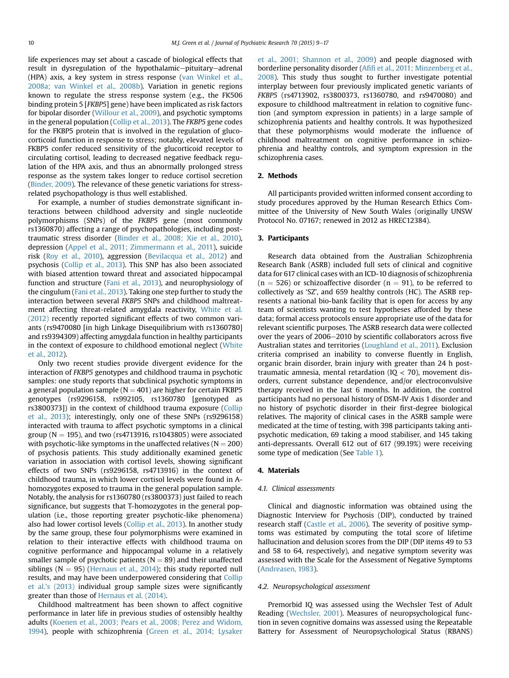life experiences may set about a cascade of biological effects that result in dysregulation of the hypothalamic-pituitary-adrenal (HPA) axis, a key system in stress response (van Winkel et al., 2008a; van Winkel et al., 2008b). Variation in genetic regions known to regulate the stress response system (e.g., the FK506 binding protein 5 [FKBP5] gene) have been implicated as risk factors for bipolar disorder (Willour et al., 2009), and psychotic symptoms in the general population (Collip et al., 2013). The FKBP5 gene codes for the FKBP5 protein that is involved in the regulation of glucocorticoid function in response to stress; notably, elevated levels of FKBP5 confer reduced sensitivity of the glucorticoid receptor to circulating cortisol, leading to decreased negative feedback regulation of the HPA axis, and thus an abnormally prolonged stress response as the system takes longer to reduce cortisol secretion (Binder, 2009). The relevance of these genetic variations for stressrelated psychopathology is thus well established.

For example, a number of studies demonstrate significant interactions between childhood adversity and single nucleotide polymorphisms (SNPs) of the FKBP5 gene (most commonly rs1360870) affecting a range of psychopathologies, including posttraumatic stress disorder (Binder et al., 2008; Xie et al., 2010), depression (Appel et al., 2011; Zimmermann et al., 2011), suicide risk (Roy et al., 2010), aggression (Bevilacqua et al., 2012) and psychosis (Collip et al., 2013). This SNP has also been associated with biased attention toward threat and associated hippocampal function and structure (Fani et al., 2013), and neurophysiology of the cingulum (Fani et al., 2013). Taking one step further to study the interaction between several FKBP5 SNPs and childhood maltreatment affecting threat-related amygdala reactivity, White et al. (2012) recently reported significant effects of two common variants (rs9470080 [in high Linkage Disequilibrium with rs1360780] and rs9394309) affecting amygdala function in healthy participants in the context of exposure to childhood emotional neglect (White et al., 2012).

Only two recent studies provide divergent evidence for the interaction of FKBP5 genotypes and childhood trauma in psychotic samples: one study reports that subclinical psychotic symptoms in a general population sample ( $N = 401$ ) are higher for certain FKBP5 genotypes (rs9296158, rs992105, rs1360780 [genotyped as rs3800373]) in the context of childhood trauma exposure (Collip et al., 2013); interestingly, only one of these SNPs (rs9296158) interacted with trauma to affect psychotic symptoms in a clinical group ( $N = 195$ ), and two (rs4713916, rs1043805) were associated with psychotic-like symptoms in the unaffected relatives ( $N = 200$ ) of psychosis patients. This study additionally examined genetic variation in association with cortisol levels, showing significant effects of two SNPs (rs9296158, rs4713916) in the context of childhood trauma, in which lower cortisol levels were found in Ahomozygotes exposed to trauma in the general population sample. Notably, the analysis for rs1360780 (rs3800373) just failed to reach significance, but suggests that T-homozygotes in the general population (i.e., those reporting greater psychotic-like phenomena) also had lower cortisol levels (Collip et al., 2013). In another study by the same group, these four polymorphisms were examined in relation to their interactive effects with childhood trauma on cognitive performance and hippocampal volume in a relatively smaller sample of psychotic patients ( $N = 89$ ) and their unaffected siblings ( $N = 95$ ) (Hernaus et al., 2014); this study reported null results, and may have been underpowered considering that Collip et al.'s (2013) individual group sample sizes were significantly greater than those of Hernaus et al. (2014).

Childhood maltreatment has been shown to affect cognitive performance in later life in previous studies of ostensibly healthy adults (Koenen et al., 2003; Pears et al., 2008; Perez and Widom, 1994), people with schizophrenia (Green et al., 2014; Lysaker et al., 2001; Shannon et al., 2009) and people diagnosed with borderline personality disorder (Afifi et al., 2011; Minzenberg et al., 2008). This study thus sought to further investigate potential interplay between four previously implicated genetic variants of FKBP5 (rs4713902, rs3800373, rs1360780, and rs9470080) and exposure to childhood maltreatment in relation to cognitive function (and symptom expression in patients) in a large sample of schizophrenia patients and healthy controls. It was hypothesized that these polymorphisms would moderate the influence of childhood maltreatment on cognitive performance in schizophrenia and healthy controls, and symptom expression in the schizophrenia cases.

#### 2. Methods

All participants provided written informed consent according to study procedures approved by the Human Research Ethics Committee of the University of New South Wales (originally UNSW Protocol No. 07167; renewed in 2012 as HREC12384).

#### 3. Participants

Research data obtained from the Australian Schizophrenia Research Bank (ASRB) included full sets of clinical and cognitive data for 617 clinical cases with an ICD-10 diagnosis of schizophrenia  $(n = 526)$  or schizoaffective disorder  $(n = 91)$ , to be referred to collectively as 'SZ', and 659 healthy controls (HC). The ASRB represents a national bio-bank facility that is open for access by any team of scientists wanting to test hypotheses afforded by these data; formal access protocols ensure appropriate use of the data for relevant scientific purposes. The ASRB research data were collected over the years of 2006-2010 by scientific collaborators across five Australian states and territories (Loughland et al., 2011). Exclusion criteria comprised an inability to converse fluently in English, organic brain disorder, brain injury with greater than 24 h posttraumatic amnesia, mental retardation ( $IQ < 70$ ), movement disorders, current substance dependence, and/or electroconvulsive therapy received in the last 6 months. In addition, the control participants had no personal history of DSM-IV Axis 1 disorder and no history of psychotic disorder in their first-degree biological relatives. The majority of clinical cases in the ASRB sample were medicated at the time of testing, with 398 participants taking antipsychotic medication, 69 taking a mood stabiliser, and 145 taking anti-depressants. Overall 612 out of 617 (99.19%) were receiving some type of medication (See Table 1).

## 4. Materials

#### 4.1. Clinical assessments

Clinical and diagnostic information was obtained using the Diagnostic Interview for Psychosis (DIP), conducted by trained research staff (Castle et al., 2006). The severity of positive symptoms was estimated by computing the total score of lifetime hallucination and delusion scores from the DIP (DIP items 49 to 53 and 58 to 64, respectively), and negative symptom severity was assessed with the Scale for the Assessment of Negative Symptoms (Andreasen, 1983).

#### 4.2. Neuropsychological assessment

Premorbid IQ was assessed using the Wechsler Test of Adult Reading (Wechsler, 2001). Measures of neuropsychological function in seven cognitive domains was assessed using the Repeatable Battery for Assessment of Neuropsychological Status (RBANS)